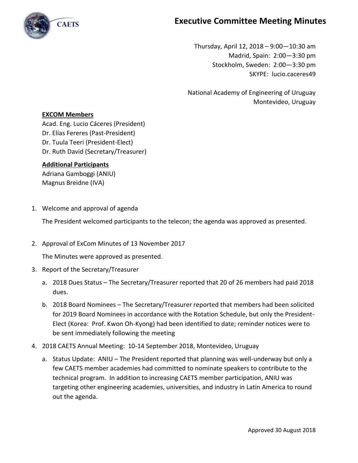

## **Executive Committee Meeting Minutes**

Thursday, April 12, 2018 – 9:00—10:30 am Madrid, Spain: 2:00—3:30 pm Stockholm, Sweden: 2:00—3:30 pm SKYPE: lucio.caceres49

National Academy of Engineering of Uruguay Montevideo, Uruguay

## **EXCOM Members**

Acad. Eng. Lucio Cáceres (President) Dr. Elías Fereres (Past-President) Dr. Tuula Teeri (President-Elect) Dr. Ruth David (Secretary/Treasurer)

## **Additional Participants**

Adriana Gamboggi (ANIU) Magnus Breidne (IVA)

1. Welcome and approval of agenda

The President welcomed participants to the telecon; the agenda was approved as presented.

2. Approval of ExCom Minutes of 13 November 2017

The Minutes were approved as presented.

- 3. Report of the Secretary/Treasurer
	- a. 2018 Dues Status The Secretary/Treasurer reported that 20 of 26 members had paid 2018 dues.
	- b. 2018 Board Nominees The Secretary/Treasurer reported that members had been solicited for 2019 Board Nominees in accordance with the Rotation Schedule, but only the President-Elect (Korea: Prof. Kwon Oh-Kyong) had been identified to date; reminder notices were to be sent immediately following the meeting
- 4. 2018 CAETS Annual Meeting: 10-14 September 2018, Montevideo, Uruguay
	- a. Status Update: ANIU The President reported that planning was well-underway but only a few CAETS member academies had committed to nominate speakers to contribute to the technical program. In addition to increasing CAETS member participation, ANIU was targeting other engineering academies, universities, and industry in Latin America to round out the agenda.